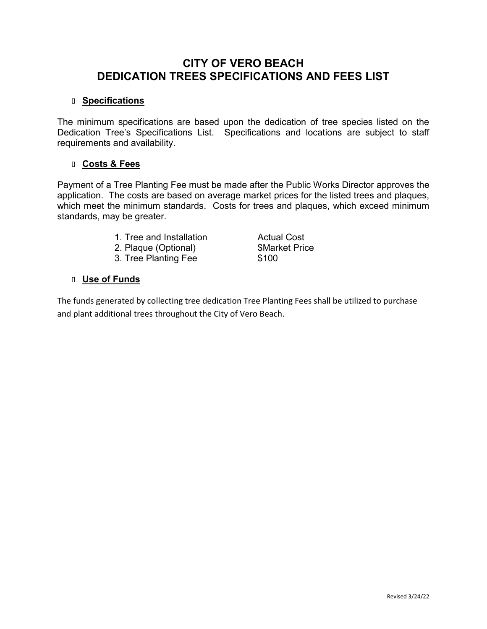## **CITY OF VERO BEACH DEDICATION TREES SPECIFICATIONS AND FEES LIST**

## **Specifications**

The minimum specifications are based upon the dedication of tree species listed on the Dedication Tree's Specifications List. Specifications and locations are subject to staff requirements and availability.

## **Costs & Fees**

Payment of a Tree Planting Fee must be made after the Public Works Director approves the application. The costs are based on average market prices for the listed trees and plaques, which meet the minimum standards. Costs for trees and plaques, which exceed minimum standards, may be greater.

- 1. Tree and Installation **Actual Cost**
- 2. Plaque (Optional) **\$Market Price**
- 3. Tree Planting Fee \$100

## **Use of Funds**

The funds generated by collecting tree dedication Tree Planting Fees shall be utilized to purchase and plant additional trees throughout the City of Vero Beach.